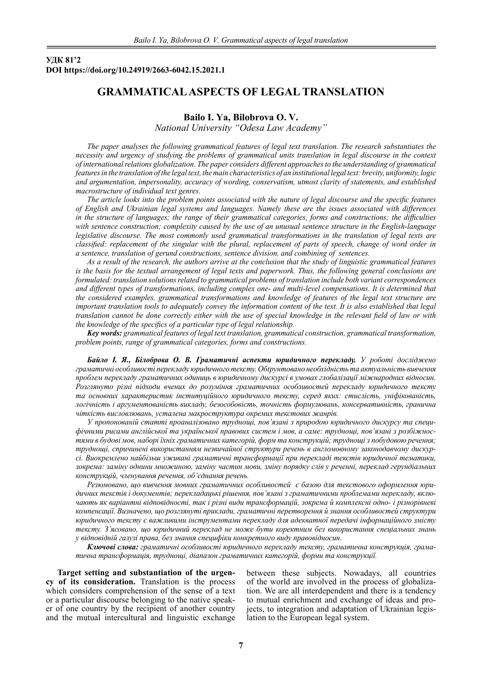# **УДК 81'2 DOI https://doi.org/10.24919/2663-6042.15.2021.1**

# **GRAMMATICAL ASPECTS OF LEGAL TRANSLATION**

## **Bailo І. Ya, Bilobrova O. V.**

*National University "Odesa Law Academy"*

*The paper analyses the following grammatical features of legal text translation. The research substantiates the necessity and urgency of studying the problems of grammatical units translation in legal discourse in the context of international relations globalization. The paper considers different approaches to the understanding of grammatical features in the translation of the legal text, the main characteristics of an institutional legal text: brevity, uniformity, logic and argumentation, impersonality, accuracy of wording, conservatism, utmost clarity of statements, and established macrostructure of individual text genres.*

*The article looks into the problem points associated with the nature of legal discourse and the specific features of English and Ukrainian legal systems and languages. Namely these are the issues associated with differences in the structure of languages; the range of their grammatical categories, forms and constructions; the difficulties with sentence construction; complexity caused by the use of an unusual sentence structure in the English-language legislative discourse. The most commonly used grammatical transformations in the translation of legal texts are classified: replacement of the singular with the plural, replacement of parts of speech, change of word order in a sentence, translation of gerund constructions, sentence division, and combining of sentences.*

*As a result of the research, the authors arrive at the conclusion that the study of linguistic grammatical features*  is the basis for the textual arrangement of legal texts and paperwork. Thus, the following general conclusions are *formulated: translation solutions related to grammatical problems of translation include both variant correspondences and different types of transformations, including complex one- and multi-level compensations. It is determined that the considered examples, grammatical transformations and knowledge of features of the legal text structure are important translation tools to adequately convey the information content of the text. It is also established that legal translation cannot be done correctly either with the use of special knowledge in the relevant field of law or with the knowledge of the specifics of a particular type of legal relationship.* 

*Key words: grammatical features of legal text translation, grammatical construction, grammatical transformation, problem points, range of grammatical categories, forms and constructions.*

*Байло І. Я., Білоброва О. В. Граматичні аспекти юридичного перекладу. У роботі досліджено граматичні особливості перекладу юридичного тексту. Обґрунтовано необхідність та актуальність вивчення проблем перекладу граматичних одиниць в юридичному дискурсі в умовах глобалізації міжнародних відносин. Розглянуто різні підходи вчених до розуміння граматичних особливостей перекладу юридичного тексту та основних характеристик інституційного юридичного тексту, серед яких: стислість, уніфікованість, логічність і аргументованість викладу, безособовість, точність формулювань, консервативність, гранична чіткість висловлювань, усталена макроструктура окремих текстових жанрів.*

*У пропонованій статті проаналізовано труднощі, пов'язані з природою юридичного дискурсу та специфічними рисами англійської та української правових систем і мов, а саме: труднощі, пов'язані з розбіжностями в будові мов, наборі їхніх граматичних категорій, форм та конструкцій; труднощі з побудовою речення; труднощі, спричинені використанням незвичайної структури речень в англомовному законодавчому дискурсі. Виокремлено найбільш уживані граматичні трансформації при перекладі текстів юридичної тематики, зокрема: заміну однини множиною, заміну частин мови, зміну порядку слів у реченні, переклад герундіальних конструкцій, членування речення, об'єднання речень.*

*Резюмовано, що вивчення мовних граматичних особливостей є базою для текстового оформлення юридичних текстів і документів; перекладацькі рішення, пов'язані з граматичними проблемами перекладу, включають як варіантні відповідності, так і різні види трансформацій, зокрема й комплексні одно- і різнорівневі компенсації. Визначено, що розглянуті приклади, граматичні перетворення й знання особливостей структури юридичного тексту є важливими інструментами перекладу для адекватної передачі інформаційного змісту тексту. З'ясовано, що юридичний переклад не може бути коректним без використання спеціальних знань у відповідній галузі права, без знання специфіки конкретного виду правовідносин.* 

*Ключові слова: граматичні особливості юридичного перекладу тексту, граматична конструкція, граматична трансформація, труднощі, діапазон граматичних категорій, форми та конструкції.*

**Target setting and substantiation of the urgency of its consideration.** Translation is the process which considers comprehension of the sense of a text or a particular discourse belonging to the native speaker of one country by the recipient of another country and the mutual intercultural and linguistic exchange between these subjects. Nowadays, all countries of the world are involved in the process of globalization. We are all interdependent and there is a tendency to mutual enrichment and exchange of ideas and projects, to integration and adaptation of Ukrainian legislation to the European legal system.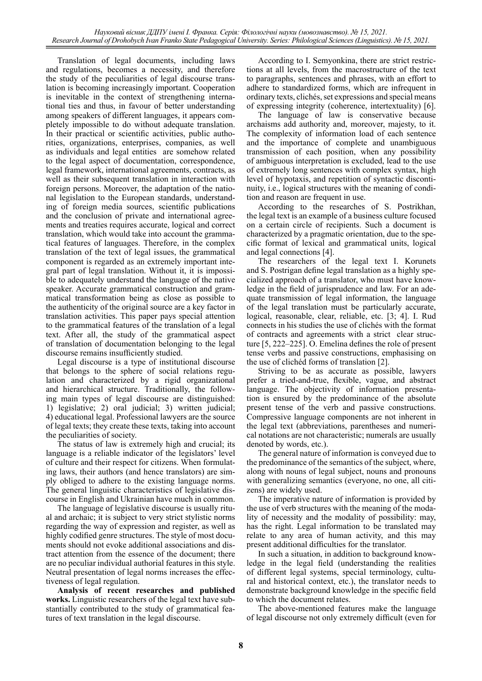Translation of legal documents, including laws and regulations, becomes a necessity, and therefore the study of the peculiarities of legal discourse translation is becoming increasingly important. Cooperation is inevitable in the context of strengthening international ties and thus, in favour of better understanding among speakers of different languages, it appears completely impossible to do without adequate translation. In their practical or scientific activities, public authorities, organizations, enterprises, companies, as well as individuals and legal entities are somehow related to the legal aspect of documentation, correspondence, legal framework, international agreements, contracts, as well as their subsequent translation in interaction with foreign persons. Moreover, the adaptation of the national legislation to the European standards, understanding of foreign media sources, scientific publications and the conclusion of private and international agreements and treaties requires accurate, logical and correct translation, which would take into account the grammatical features of languages. Therefore, in the complex translation of the text of legal issues, the grammatical component is regarded as an extremely important integral part of legal translation. Without it, it is impossible to adequately understand the language of the native speaker. Accurate grammatical construction and grammatical transformation being as close as possible to the authenticity of the original source are a key factor in translation activities. This paper pays special attention to the grammatical features of the translation of a legal text. After all, the study of the grammatical aspect of translation of documentation belonging to the legal discourse remains insufficiently studied.

Legal discourse is a type of institutional discourse that belongs to the sphere of social relations regulation and characterized by a rigid organizational and hierarchical structure. Traditionally, the following main types of legal discourse are distinguished: 1) legislative; 2) oral judicial; 3) written judicial; 4) educational legal. Professional lawyers are the source of legal texts; they create these texts, taking into account the peculiarities of society.

The status of law is extremely high and crucial; its language is a reliable indicator of the legislators' level of culture and their respect for citizens. When formulating laws, their authors (and hence translators) are simply obliged to adhere to the existing language norms. The general linguistic characteristics of legislative discourse in English and Ukrainian have much in common.

The language of legislative discourse is usually ritual and archaic; it is subject to very strict stylistic norms regarding the way of expression and register, as well as highly codified genre structures. The style of most documents should not evoke additional associations and distract attention from the essence of the document; there are no peculiar individual authorial features in this style. Neutral presentation of legal norms increases the effectiveness of legal regulation.

**Analysis of recent researches and published works.** Linguistic researchers of the legal text have substantially contributed to the study of grammatical features of text translation in the legal discourse.

According to I. Semyonkina, there are strict restrictions at all levels, from the macrostructure of the text to paragraphs, sentences and phrases, with an effort to adhere to standardized forms, which are infrequent in ordinary texts, clichés, set expressions and special means of expressing integrity (coherence, intertextuality) [6].

The language of law is conservative because archaisms add authority and, moreover, majesty, to it. The complexity of information load of each sentence and the importance of complete and unambiguous transmission of each position, when any possibility of ambiguous interpretation is excluded, lead to the use of extremely long sentences with complex syntax, high level of hypotaxis, and repetition of syntactic discontinuity, i.e., logical structures with the meaning of condition and reason are frequent in use.

According to the researches of S. Postrikhan, the legal text is an example of a business culture focused on a certain circle of recipients. Such a document is characterized by a pragmatic orientation, due to the specific format of lexical and grammatical units, logical and legal connections [4].

The researchers of the legal text I. Korunets and S. Postrigan define legal translation as a highly specialized approach of a translator, who must have knowledge in the field of jurisprudence and law. For an adequate transmission of legal information, the language of the legal translation must be particularly accurate, logical, reasonable, clear, reliable, etc. [3; 4]. І. Rud connects in his studies the use of clichés with the format of contracts and agreements with a strict clear structure [5, 222–225]. O. Emelina defines the role of present tense verbs and passive constructions, emphasising on the use of clichéd forms of translation [2].

Striving to be as accurate as possible, lawyers prefer a tried-and-true, flexible, vague, and abstract language. The objectivity of information presentation is ensured by the predominance of the absolute present tense of the verb and passive constructions. Compressive language components are not inherent in the legal text (abbreviations, parentheses and numerical notations are not characteristic; numerals are usually denoted by words, etc.).

The general nature of information is conveyed due to the predominance of the semantics of the subject, where, along with nouns of legal subject, nouns and pronouns with generalizing semantics (everyone, no one, all citizens) are widely used.

The imperative nature of information is provided by the use of verb structures with the meaning of the modality of necessity and the modality of possibility: may, has the right. Legal information to be translated may relate to any area of human activity, and this may present additional difficulties for the translator.

In such a situation, in addition to background knowledge in the legal field (understanding the realities of different legal systems, special terminology, cultural and historical context, etc.), the translator needs to demonstrate background knowledge in the specific field to which the document relates.

The above-mentioned features make the language of legal discourse not only extremely difficult (even for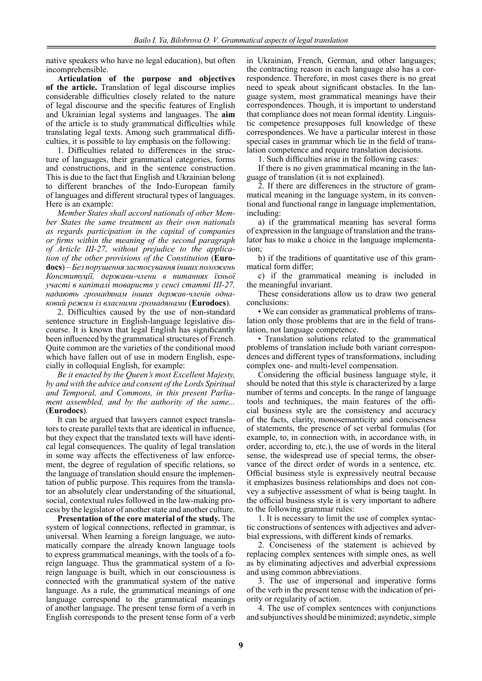native speakers who have no legal education), but often incomprehensible.

**Articulation of the purpose and objectives of the article.** Translation of legal discourse implies considerable difficulties closely related to the nature of legal discourse and the specific features of English and Ukrainian legal systems and languages. The **aim**  of the article is to study grammatical difficulties while translating legal texts. Among such grammatical difficulties, it is possible to lay emphasis on the following:

1. Difficulties related to differences in the structure of languages, their grammatical categories, forms and constructions, and in the sentence construction. This is due to the fact that English and Ukrainian belong to different branches of the Indo-European family of languages and different structural types of languages. Here is an example:

*Member States shall accord nationals of other Member States the same treatment as their own nationals as regards participation in the capital of companies or firms within the meaning of the second paragraph of Article III-27, without prejudice to the application of the other provisions of the Constitution* (**Eurodocs**) *– Без порушення застосування інших положень Конституції, держави-члени в питаннях їхньої участі в капіталі товариств у сенсі статті III-27, надають громадянам інших держав-членів однаковий режим із власними громадянами* (**Eurodocs**).

2. Difficulties caused by the use of non-standard sentence structure in English-language legislative discourse. It is known that legal English has significantly been influenced by the grammatical structures of French. Quite common are the varieties of the conditional mood which have fallen out of use in modern English, especially in colloquial English, for example:

*Be it enacted by the Queen's most Excellent Majesty, by and with the advice and consent of the Lords Spiritual and Temporal, and Commons, in this present Parliament assembled, and by the authority of the same...*  (**Eurodocs**)*.*

It can be argued that lawyers cannot expect translators to create parallel texts that are identical in influence, but they expect that the translated texts will have identical legal consequences. The quality of legal translation in some way affects the effectiveness of law enforcement, the degree of regulation of specific relations, so the language of translation should ensure the implementation of public purpose. This requires from the translator an absolutely clear understanding of the situational, social, contextual rules followed in the law-making process by the legislator of another state and another culture.

**Presentation of the core material of the study.** The system of logical connections, reflected in grammar, is universal. When learning a foreign language, we automatically compare the already known language tools to express grammatical meanings, with the tools of a foreign language. Thus the grammatical system of a foreign language is built, which in our consciousness is connected with the grammatical system of the native language. As a rule, the grammatical meanings of one language correspond to the grammatical meanings of another language. The present tense form of a verb in English corresponds to the present tense form of a verb

in Ukrainian, French, German, and other languages; the contracting reason in each language also has a correspondence. Therefore, in most cases there is no great need to speak about significant obstacles. In the language system, most grammatical meanings have their correspondences. Though, it is important to understand that compliance does not mean formal identity. Linguistic competence presupposes full knowledge of these correspondences. We have a particular interest in those special cases in grammar which lie in the field of translation competence and require translation decisions.

1. Such difficulties arise in the following cases:

If there is no given grammatical meaning in the language of translation (it is not explained).

2. If there are differences in the structure of grammatical meaning in the language system, in its conventional and functional range in language implementation, including:

a) if the grammatical meaning has several forms of expression in the language of translation and the translator has to make a choice in the language implementation;

b) if the traditions of quantitative use of this grammatical form differ;

c) if the grammatical meaning is included in the meaningful invariant.

These considerations allow us to draw two general conclusions:

• We can consider as grammatical problems of translation only those problems that are in the field of translation, not language competence.

• Translation solutions related to the grammatical problems of translation include both variant correspondences and different types of transformations, including complex one- and multi-level compensation.

Considering the official business language style, it should be noted that this style is characterized by a large number of terms and concepts. In the range of language tools and techniques, the main features of the official business style are the consistency and accuracy of the facts, clarity, monosemanticity and conciseness of statements, the presence of set verbal formulas (for example, to, in connection with, in accordance with, in order, according to, etc.), the use of words in the literal sense, the widespread use of special terms, the observance of the direct order of words in a sentence, etc. Official business style is expressively neutral because it emphasizes business relationships and does not convey a subjective assessment of what is being taught. In the official business style it is very important to adhere to the following grammar rules:

1. It is necessary to limit the use of complex syntactic constructions of sentences with adjectives and adverbial expressions, with different kinds of remarks.

2. Conciseness of the statement is achieved by replacing complex sentences with simple ones, as well as by eliminating adjectives and adverbial expressions and using common abbreviations.

3. The use of impersonal and imperative forms of the verb in the present tense with the indication of priority or regularity of action.

4. The use of complex sentences with conjunctions and subjunctives should be minimized; asyndetic, simple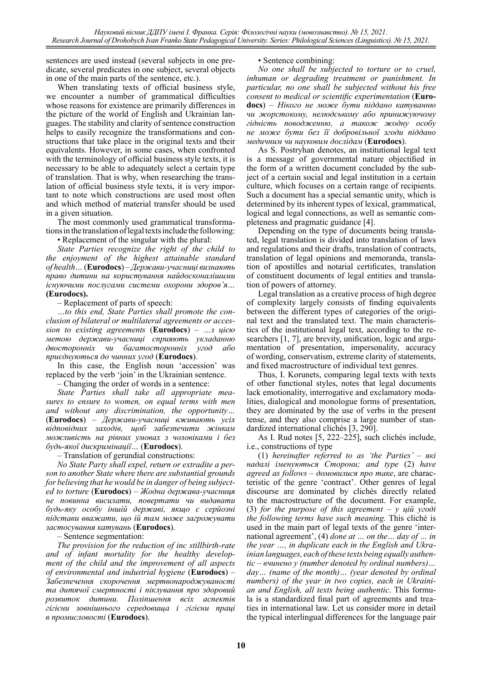sentences are used instead (several subjects in one predicate, several predicates in one subject, several objects in one of the main parts of the sentence, etc.).

When translating texts of official business style, we encounter a number of grammatical difficulties whose reasons for existence are primarily differences in the picture of the world of English and Ukrainian languages. The stability and clarity of sentence construction helps to easily recognize the transformations and constructions that take place in the original texts and their equivalents. However, in some cases, when confronted with the terminology of official business style texts, it is necessary to be able to adequately select a certain type of translation. That is why, when researching the translation of official business style texts, it is very important to note which constructions are used most often and which method of material transfer should be used in a given situation.

The most commonly used grammatical transformations in the translation of legal texts include the following:

• Replacement of the singular with the plural:

*State Parties recognize the right of the child to the enjoyment of the highest attainable standard of health…* (**Eurodocs**) *– Держави-учасниці визнають право дитини на користування найдосконалішими існуючими послугами системи охорони здоров'я…*  **(Eurodocs).**

– Replacement of parts of speech:

*…to this end, State Parties shall promote the conclusion of bilateral or multilateral agreements or accession to existing agreements* (**Eurodocs**) *– …з цією метою держави-учасниці сприяють укладанню двосторонніх чи багатосторонніх угод або приєднуються до чинних угод* (**Eurodocs**).

In this case, the English noun 'accession' was replaced by the verb 'join' in the Ukrainian sentence.

– Changing the order of words in a sentence:

*State Parties shall take all appropriate measures to ensure to women, on equal terms with men and without any discrimination, the opportunity…*  (**Eurodocs**) *– Держави-учасниці вживають усіх відповідних заходів, щоб забезпечити жінкам можливість на рівних умовах з чоловіками і без будь-якої дискримінації…* (**Eurodocs**).

– Translation of gerundial constructions:

*No State Party shall expel, return or extradite a person to another State where there are substantial grounds for believing that he would be in danger of being subjected to torture* (**Eurodocs**) *– Жодна держава-учасниця не повинна висилати, повертати чи видавати будь-яку особу іншій державі, якщо є серйозні підстави вважати, що ій там може загрожувати застосування катувань* (**Eurodocs**).

– Sentence segmentation:

*The provision for the reduction of inc stillbirth-rate and of infant mortality for the healthy development of the child and the improvement of all aspects of environmental and industrial hygiene* (**Eurodocs**) *– Забезпечення скорочення мертвонароджуваності та дитячої смертності і піклування про здоровий розвиток дитини. Поліпшення всіх аспектів гігієни зовнішнього середовища і гігієни праці в промисловості* (**Eurodocs**).

## • Sentence combining:

*No one shall be subjected to torture or to cruel, inhuman or degrading treatment or punishment. In particular, no one shall be subjected without his free consent to medical or scientific experimentation* (**Eurodocs**) *– Нікого не може бути піддано катуванню чи жорстокому, нелюдському або принижуючому гідність поводженню, а також жодну особу не може бути без її добровільної згоди піддано медичним чи науковим дослідам* (**Eurodocs**).

As S. Postryhan denotes, an institutional legal text is a message of governmental nature objectified in the form of a written document concluded by the subject of a certain social and legal institution in a certain culture, which focuses on a certain range of recipients. Such a document has a special semantic unity, which is determined by its inherent types of lexical, grammatical, logical and legal connections, as well as semantic completeness and pragmatic guidance [4].

Depending on the type of documents being translated, legal translation is divided into translation of laws and regulations and their drafts, translation of contracts, translation of legal opinions and memoranda, translation of apostilles and notarial certificates, translation of constituent documents of legal entities and translation of powers of attorney.

Legal translation as a creative process of high degree of complexity largely consists of finding equivalents between the different types of categories of the original text and the translated text. The main characteristics of the institutional legal text, according to the researchers [1, 7], are brevity, unification, logic and argumentation of presentation, impersonality, accuracy of wording, conservatism, extreme clarity of statements, and fixed macrostructure of individual text genres.

Thus, I. Korunets, comparing legal texts with texts of other functional styles, notes that legal documents lack emotionality, interrogative and exclamatory modalities, dialogical and monologue forms of presentation, they are dominated by the use of verbs in the present tense, and they also comprise a large number of standardized international clichés [3, 290].

As I. Rud notes [5, 222–225], such clichés include, i.e., constructions of type

(1) *hereinafter referred to as 'the Parties'* – *які надалі іменуються Сторони; and type* (2) *have agreed as follows* – *домовилися про таке*, are characteristic of the genre 'contract'. Other genres of legal discourse are dominated by clichés directly related to the macrostructure of the document. For example, (3) *for the purpose of this agreement* – *у цій угоді the following terms have such meaning.* This cliché is used in the main part of legal texts of the genre 'international agreement', (4) *done at … on the… day of … in the year …, in duplicate each in the English and Ukrainian languages, each of these texts being equally authentic* – *вчинено у (number denoted by ordinal numbers)… day… (name of the month)… (year denoted by ordinal numbers) of the year in two copies, each in Ukrainian and English, all texts being authentic*. This formula is a standardized final part of agreements and treaties in international law. Let us consider more in detail the typical interlingual differences for the language pair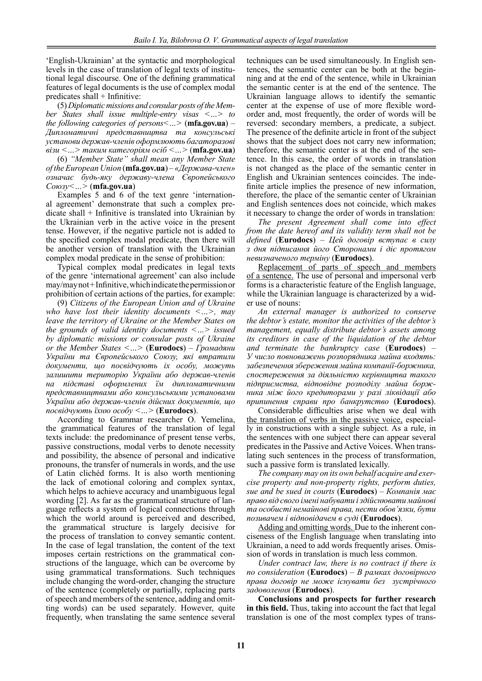'English-Ukrainian' at the syntactic and morphological levels in the case of translation of legal texts of institutional legal discourse. One of the defining grammatical features of legal documents is the use of complex modal predicates shall + Infinitive:

(5) *Diplomatic missions and consular posts of the Member States shall issue multiple-entry visas <…> to the following categories of persons<…>* (**mfa.gov.ua**) – *Дипломатичні представництва та консульські установи держав-членів оформлюють багаторазові візи <…> таким категоріям осіб <…>* (**mfa.gov.ua**)

(6) *"Member State" shall mean any Member State of the European Union* (**mfa.gov.ua**) *– «Держава-член» означає будь-яку державу-члена Європейського Союзу<…>* (**mfa.gov.ua**)

Examples 5 and 6 of the text genre 'international agreement' demonstrate that such a complex predicate shall + Infinitive is translated into Ukrainian by the Ukrainian verb in the active voice in the present tense. However, if the negative particle not is added to the specified complex modal predicate, then there will be another version of translation with the Ukrainian complex modal predicate in the sense of prohibition:

Typical complex modal predicates in legal texts of the genre 'international agreement' can also include may/may not + Infinitive, which indicate the permission or prohibition of certain actions of the parties, for example:

(9) *Сitizens of the European Union and of Ukraine who have lost their identity documents <…>, may leave the territory of Ukraine or the Member States on the grounds of valid identity documents <…> issued by diplomatic missions or consular posts of Ukraine or the Member States <…>* (**Eurodocs**) – *Громадяни України та Європейського Союзу, які втратили документи, що посвідчують іх особу, можуть залишити територію України або держав-членів на підставі оформлених їм дипломатичними представництвами або консульськими установами України або держав-членів дійсних документів, що посвідчують їхню особу <…>* (**Eurodocs**).

According to Grammar researcher O. Yemelina, the grammatical features of the translation of legal texts include: the predominance of present tense verbs, passive constructions, modal verbs to denote necessity and possibility, the absence of personal and indicative pronouns, the transfer of numerals in words, and the use of Latin clichéd forms. It is also worth mentioning the lack of emotional coloring and complex syntax, which helps to achieve accuracy and unambiguous legal wording [2]. As far as the grammatical structure of language reflects a system of logical connections through which the world around is perceived and described, the grammatical structure is largely decisive for the process of translation to convey semantic content. In the case of legal translation, the content of the text imposes certain restrictions on the grammatical constructions of the language, which can be overcome by using grammatical transformations. Such techniques include changing the word-order, changing the structure of the sentence (completely or partially, replacing parts of speech and members of the sentence, adding and omitting words) can be used separately. However, quite frequently, when translating the same sentence several

techniques can be used simultaneously. In English sentences, the semantic center can be both at the beginning and at the end of the sentence, while in Ukrainian the semantic center is at the end of the sentence. The Ukrainian language allows to identify the semantic center at the expense of use of more flexible wordorder and, most frequently, the order of words will be reversed: secondary members, a predicate, a subject. The presence of the definite article in front of the subject shows that the subject does not carry new information; therefore, the semantic center is at the end of the sentence. In this case, the order of words in translation is not changed as the place of the semantic center in English and Ukrainian sentences coincides. The indefinite article implies the presence of new information, therefore, the place of the semantic center of Ukrainian and English sentences does not coincide, which makes it necessary to change the order of words in translation:

*The present Agreement shall come into effect from the date hereof and its validity term shall not be defined* (**Eurodocs**) *– Цей договір вступає в силу з дня підписання його Сторонами і діє протягом невизначеного терміну* (**Eurodocs**).

Replacement of parts of speech and members of a sentence. The use of personal and impersonal verb forms is a characteristic feature of the English language, while the Ukrainian language is characterized by a wider use of nouns:

*An external manager is authorized to conserve the debtor's estate, monitor the activities of the debtor's management, equally distribute debtor's assets among its creditors in case of the liquidation of the debtor and terminate the bankruptcy case* (**Eurodocs**) *– У число повноважень розпорядника майна входять: забезпечення збереження майна компанії-боржника, спостереження за діяльністю керівництва такого підприємства, відповідне розподілу майна боржника між його кредиторами у разі ліквідації або припинення справи про банкрутство* (**Eurodocs**).

Considerable difficulties arise when we deal with the translation of verbs in the passive voice, especially in constructions with a single subject. As a rule, in the sentences with one subject there can appear several predicates in the Passive and Active Voices. When translating such sentences in the process of transformation, such a passive form is translated lexically.

*The company may on its own behalf acquire and exercise property and non-property rights, perform duties, sue and be sued in courts* (**Eurodocs**) – *Компанія має право від свого імені набувати і здійснювати майнові та особисті немайнові права, нести обов'язки, бути позивачем і відповідачем в суді* (**Eurodocs**).

Adding and omitting words. Due to the inherent conciseness of the English language when translating into Ukrainian, a need to add words frequently arises. Omission of words in translation is much less common.

*Under contract law, there is no contract if there is no consideration* (**Eurodocs**) – *В рамках договірного права договір не може існувати без зустрічного задоволення* (**Eurodocs**).

**Conclusions and prospects for further research in this field.** Thus, taking into account the fact that legal translation is one of the most complex types of trans-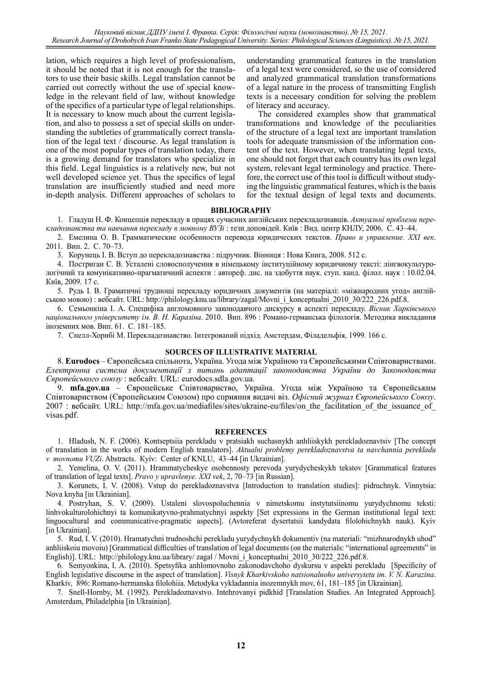*Науковий вісник ДДПУ імені І. Франка. Серія: Філологічні науки (мовознавство). № 15, 2021. Research Journal of Drohobych Ivan Franko State Pedagogical University. Series: Philological Sciences (Linguistics). № 15, 2021.*

lation, which requires a high level of professionalism, it should be noted that it is not enough for the translators to use their basic skills. Legal translation cannot be carried out correctly without the use of special knowledge in the relevant field of law, without knowledge of the specifics of a particular type of legal relationships. It is necessary to know much about the current legislation, and also to possess a set of special skills on understanding the subtleties of grammatically correct translation of the legal text / discourse. As legal translation is one of the most popular types of translation today, there is a growing demand for translators who specialize in this field. Legal linguistics is a relatively new, but not well developed science yet. Thus the specifics of legal translation are insufficiently studied and need more in-depth analysis. Different approaches of scholars to

understanding grammatical features in the translation of a legal text were considered, so the use of considered and analyzed grammatical translation transformations of a legal nature in the process of transmitting English texts is a necessary condition for solving the problem of literacy and accuracy.

The considered examples show that grammatical transformations and knowledge of the peculiarities of the structure of a legal text are important translation tools for adequate transmission of the information content of the text. However, when translating legal texts, one should not forget that each country has its own legal system, relevant legal terminology and practice. Therefore, the correct use of this tool is difficult without studying the linguistic grammatical features, which is the basis for the textual design of legal texts and documents.

#### **BIBLIOGRAPHY**

1. Гладуш Н. Ф. Концепція перекладу в працях сучасних англійських перекладознавців. *Актуальні проблеми перекладознавства та навчання перекладу в мовному ВУЗі* : тези доповідей. Київ : Вид. центр КНЛУ, 2006. С. 43–44.

2. Емелина О. В. Грамматические особенности перевода юридических текстов. *Право и управление. XXI век*. 2011. Вип. 2. С. 70–73.

3. Корунець І. В. Вступ до перекладознавства : підручник. Вінниця : Нова Книга, 2008. 512 с.

4. Постриган С. В. Усталені словосполучення в німецькому інституційному юридичному тексті: лінгвокультурологічний та комунікативно-прагматичний аспекти : автореф. дис. на здобуття наук. ступ. канд. філол. наук : 10.02.04. Київ, 2009. 17 с.

5. Рудь І. В. Граматичні труднощі перекладу юридичних документів (на матеріалі: «міжнародних угод» англійською мовою) : вебсайт. URL: http://philology.knu.ua/library/zagal/Movni\_i\_konceptualni\_2010\_30/222\_226.pdf.8.

6. Семьонкіна І. А. Специфіка англомовного законодавчого дискурсу в аспекті перекладу. *Вiсник Харкiвського нацiонального унiверситету iм. В. Н. Каразiна*. 2010. Вип. 896 : Романо-германська філологія. Методика викладання іноземних мов. Вип. 61. С. 181–185.

7. Снелл-Хорнбі М. Перекладознавство. Інтегрований підхід. Амстердам, Філадельфія, 1999. 166 с.

#### **SOURCES OF ILLUSTRATIVE MATERIAL**

8. **Eurodocs** – Європейська спільнота, Україна. Угода між Україною та Європейськими Співтовариствами. *Електронна система документації з питань адаптації законодавства України до Законодавства Європейського союзу* : вебсайт. URL: eurodocs.sdla.gov.ua.

9. **mfa.gov.ua** – Європейське Співтовариство, Україна. Угода між Україною та Європейським Співтовариством (Європейським Союзом) про сприяння видачі віз. *Офісний журнал Європейського Союзу*. 2007 : вебсайт. URL: http://mfa.gov.ua/mediafiles/sites/ukraine-eu/files/on\_the\_facilitation\_of\_the\_issuance\_of\_ visas.pdf.

#### **REFERENCES**

1. Hladush, N. F. (2006). Kontseptsiia perekladu v pratsiakh suchasnykh anhliiskykh perekladoznavtsiv [The concept of translation in the works of modern English translators]. *Aktualni problemy perekladoznavstva ta navchannia perekladu v movnomu VUZi*. Abstracts. Кyiv: Center of KNLU, 43–44 [in Ukrainian].

2. Yemelina, O. V. (2011). Hrammatycheskye osobennosty perevoda yurydycheskykh tekstov [Grammatical features of translation of legal texts]. *Pravo y upravlenye. XXI vek*, 2, 70–73 [in Russian].

3. Korunets, I. V. (2008). Vstup do perekladoznavstva [Introduction to translation studies]: pidruchnyk. Vinnytsia: Nova knyha [in Ukrainian].

4. Postryhan, S. V. (2009). Ustaleni slovospoluchennia v nimetskomu instytutsiinomu yurydychnomu teksti: linhvokulturolohichnyi ta komunikatyvno-prahmatychnyi aspekty [Set expressions in the German institutional legal text: linguocultural and communicative-pragmatic aspects]. (Avtoreferat dysertatsii kandydata filolohichnykh nauk). Kyiv [in Ukrainian].

5. Rud, I. V. (2010). Hramatychni trudnoshchi perekladu yurydychnykh dokumentiv (na materiali: "mizhnarodnykh uhod" anhliiskoiu movoiu) [Grammatical difficulties of translation of legal documents (on the materials: "international agreements" in English)]. URL: http://philology.knu.ua/library/ zagal / Movni i konceptualni 2010 30/222 226.pdf.8.

6. Semyonkina, I. A. (2010). Spetsyfika anhlomovnoho zakonodavchoho dyskursu v aspekti perekladu [Specificity of English legislative discourse in the aspect of translation]. *Visnyk Kharkivskoho natsionalnoho universytetu im. V. N. Karazina*. Kharkiv, 896: Romano-hermanska filolohiia. Metodyka vykladannia inozemnykh mov, 61, 181–185 [in Ukrainian].

7. Snell-Hornby, M. (1992). Perekladoznavstvo. Intehrovanyi pidkhid [Translation Studies. An Integrated Approach]. Amsterdam, Philadelphia [in Ukrainian].